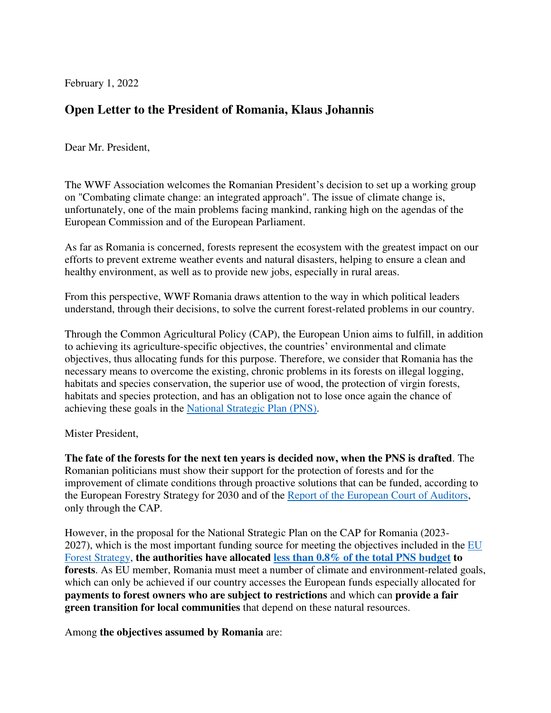February 1, 2022

## **Open Letter to the President of Romania, Klaus Johannis**

Dear Mr. President,

The WWF Association welcomes the Romanian President's decision to set up a working group on "Combating climate change: an integrated approach". The issue of climate change is, unfortunately, one of the main problems facing mankind, ranking high on the agendas of the European Commission and of the European Parliament.

As far as Romania is concerned, forests represent the ecosystem with the greatest impact on our efforts to prevent extreme weather events and natural disasters, helping to ensure a clean and healthy environment, as well as to provide new jobs, especially in rural areas.

From this perspective, WWF Romania draws attention to the way in which political leaders understand, through their decisions, to solve the current forest-related problems in our country.

Through the Common Agricultural Policy (CAP), the European Union aims to fulfill, in addition to achieving its agriculture-specific objectives, the countries' environmental and climate objectives, thus allocating funds for this purpose. Therefore, we consider that Romania has the necessary means to overcome the existing, chronic problems in its forests on illegal logging, habitats and species conservation, the superior use of wood, the protection of virgin forests, habitats and species protection, and has an obligation not to lose once again the chance of achieving these goals in the [National Strategic Plan \(PNS\).](https://www.madr.ro/planul-national-strategic-pac-post-2020.html)

Mister President,

**The fate of the forests for the next ten years is decided now, when the PNS is drafted**. The Romanian politicians must show their support for the protection of forests and for the improvement of climate conditions through proactive solutions that can be funded, according to the European Forestry Strategy for 2030 and of the [Report of the European Court of Auditors,](https://www.eca.europa.eu/en/Pages/DocItem.aspx?did=59368) only through the CAP.

However, in the proposal for the National Strategic Plan on the CAP for Romania (2023- 2027), which is the most important funding source for meeting the objectives included in the EU [Forest Strategy,](https://eur-lex.europa.eu/legal-content/EN/TXT/HTML/?uri=CELEX:52021DC0572&from=EN) **the authorities have allocated [less than 0.8% of the total PNS budget](https://www.madr.ro/planul-national-strategic-pac-post-2020/consultari-pns/comitet-consultativ-tematic.html) to forests**. As EU member, Romania must meet a number of climate and environment-related goals, which can only be achieved if our country accesses the European funds especially allocated for **payments to forest owners who are subject to restrictions** and which can **provide a fair green transition for local communities** that depend on these natural resources.

Among **the objectives assumed by Romania** are: